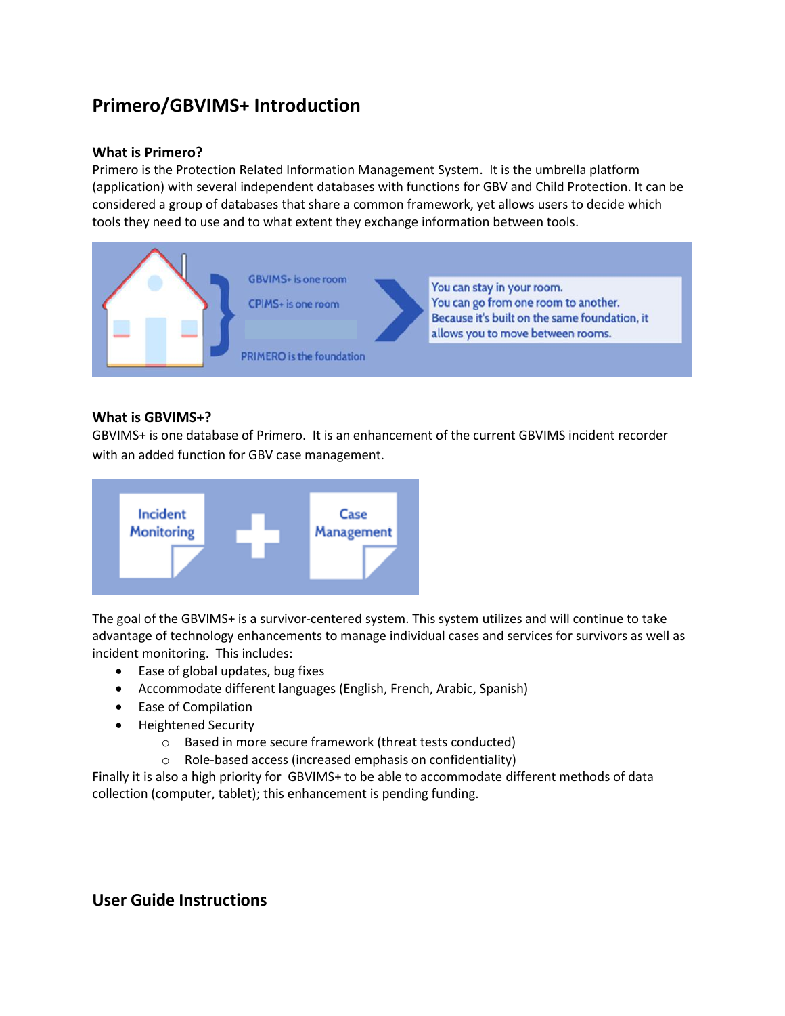# **Primero/GBVIMS+ Introduction**

#### **What is Primero?**

Primero is the Protection Related Information Management System. It is the umbrella platform (application) with several independent databases with functions for GBV and Child Protection. It can be considered a group of databases that share a common framework, yet allows users to decide which tools they need to use and to what extent they exchange information between tools.



### **What is GBVIMS+?**

GBVIMS+ is one database of Primero. It is an enhancement of the current GBVIMS incident recorder with an added function for GBV case management.



The goal of the GBVIMS+ is a survivor-centered system. This system utilizes and will continue to take advantage of technology enhancements to manage individual cases and services for survivors as well as incident monitoring. This includes:

- Ease of global updates, bug fixes
- Accommodate different languages (English, French, Arabic, Spanish)
- Ease of Compilation
- Heightened Security
	- o Based in more secure framework (threat tests conducted)
	- o Role-based access (increased emphasis on confidentiality)

Finally it is also a high priority for GBVIMS+ to be able to accommodate different methods of data collection (computer, tablet); this enhancement is pending funding.

## **User Guide Instructions**